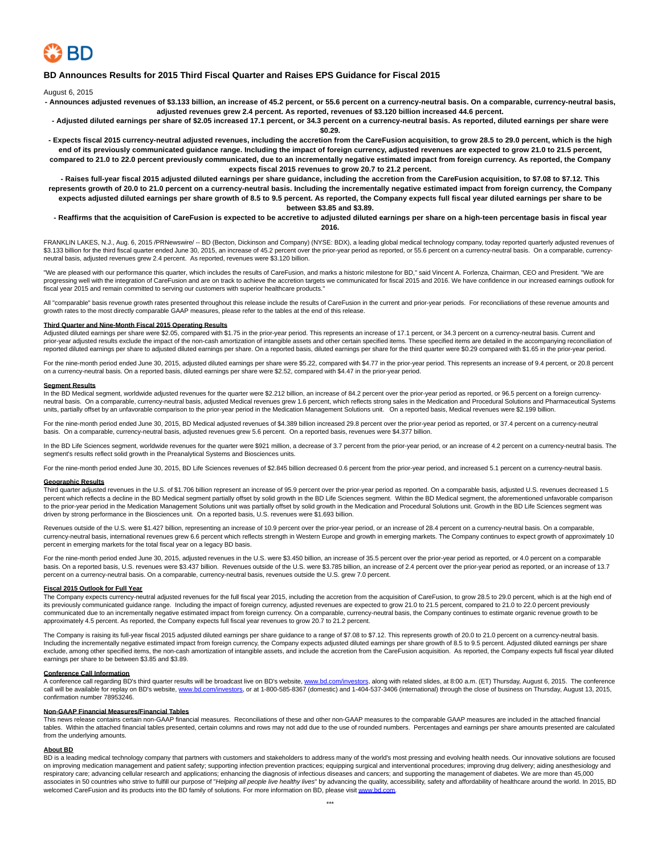

## **BD Announces Results for 2015 Third Fiscal Quarter and Raises EPS Guidance for Fiscal 2015**

August 6, 2015

**- Announces adjusted revenues of \$3.133 billion, an increase of 45.2 percent, or 55.6 percent on a currency-neutral basis. On a comparable, currency-neutral basis, adjusted revenues grew 2.4 percent. As reported, revenues of \$3.120 billion increased 44.6 percent.**

**- Adjusted diluted earnings per share of \$2.05 increased 17.1 percent, or 34.3 percent on a currency-neutral basis. As reported, diluted earnings per share were \$0.29.**

**- Expects fiscal 2015 currency-neutral adjusted revenues, including the accretion from the CareFusion acquisition, to grow 28.5 to 29.0 percent, which is the high end of its previously communicated guidance range. Including the impact of foreign currency, adjusted revenues are expected to grow 21.0 to 21.5 percent, compared to 21.0 to 22.0 percent previously communicated, due to an incrementally negative estimated impact from foreign currency. As reported, the Company expects fiscal 2015 revenues to grow 20.7 to 21.2 percent.**

**- Raises full-year fiscal 2015 adjusted diluted earnings per share guidance, including the accretion from the CareFusion acquisition, to \$7.08 to \$7.12. This represents growth of 20.0 to 21.0 percent on a currency-neutral basis. Including the incrementally negative estimated impact from foreign currency, the Company expects adjusted diluted earnings per share growth of 8.5 to 9.5 percent. As reported, the Company expects full fiscal year diluted earnings per share to be between \$3.85 and \$3.89.**

### **- Reaffirms that the acquisition of CareFusion is expected to be accretive to adjusted diluted earnings per share on a high-teen percentage basis in fiscal year 2016.**

FRANKLIN LAKES, N.J., Aug. 6, 2015 /PRNewswire/ -- BD (Becton, Dickinson and Company) (NYSE: BDX), a leading global medical technology company, today reported quarterly adjusted revenues of \$3.133 billion for the third fiscal quarter ended June 30, 2015, an increase of 45.2 percent over the prior-year period as reported, or 55.6 percent on a currency-neutral basis. On a comparable, currencyneutral basis, adjusted revenues grew 2.4 percent. As reported, revenues were \$3.120 billion.

"We are pleased with our performance this quarter, which includes the results of CareFusion, and marks a historic milestone for BD," said Vincent A. Forlenza, Chairman, CEO and President. "We are progressing well with the integration of CareFusion and are on track to achieve the accretion targets we communicated for fiscal 2015 and 2016. We have confidence in our increased earnings outlook for fiscal year 2015 and remain committed to serving our customers with superior healthcare products."

All "comparable" basis revenue growth rates presented throughout this release include the results of CareFusion in the current and prior-year periods. For reconciliations of these revenue amounts and growth rates to the most directly comparable GAAP measures, please refer to the tables at the end of this release.

## **Third Quarter and Nine-Month Fiscal 2015 Operating Results**

Adjusted diluted earnings per share were \$2.05, compared with \$1.75 in the prior-year period. This represents an increase of 17.1 percent, or 34.3 percent on a currency-neutral basis. Current and prior-year adjusted results exclude the impact of the non-cash amortization of intangible assets and other certain specified items. These specified items are detailed in the accompanying reconciliation of reported diluted earnings per share to adjusted diluted earnings per share. On a reported basis, diluted earnings per share for the third quarter were \$0.29 compared with \$1.65 in the prior-year period.

For the nine-month period ended June 30, 2015, adjusted diluted earnings per share were \$5.22, compared with \$4.77 in the prior-year period. This represents an increase of 9.4 percent, or 20.8 percent on a currency-neutral basis. On a reported basis, diluted earnings per share were \$2.52, compared with \$4.47 in the prior-year period.

#### **Segment Results**

In the BD Medical segment, worldwide adjusted revenues for the quarter were \$2.212 billion, an increase of 84.2 percent over the prior-year period as reported, or 96.5 percent on a foreign currencyneutral basis. On a comparable, currency-neutral basis, adjusted Medical revenues grew 1.6 percent, which reflects strong sales in the Medication and Procedural Solutions and Pharmaceutical Systems units, partially offset by an unfavorable comparison to the prior-year period in the Medication Management Solutions unit. On a reported basis, Medical revenues were \$2.199 billion.

For the nine-month period ended June 30, 2015, BD Medical adjusted revenues of \$4.389 billion increased 29.8 percent over the prior-year period as reported, or 37.4 percent on a currency-neutral basis. On a comparable, currency-neutral basis, adjusted revenues grew 5.6 percent. On a reported basis, revenues were \$4.377 billion.

In the BD Life Sciences segment, worldwide revenues for the quarter were \$921 million, a decrease of 3.7 percent from the prior-year period, or an increase of 4.2 percent on a currency-neutral basis. The segment's results reflect solid growth in the Preanalytical Systems and Biosciences units.

For the nine-month period ended June 30, 2015, BD Life Sciences revenues of \$2.845 billion decreased 0.6 percent from the prior-year period, and increased 5.1 percent on a currency-neutral basis.

# **Geographic Results**

Third quarter adjusted revenues in the U.S. of \$1.706 billion represent an increase of 95.9 percent over the prior-year period as reported. On a comparable basis, adjusted U.S. revenues decreased 1.5 percent which reflects a decline in the BD Medical segment partially offset by solid growth in the BD Life Sciences segment. Within the BD Medical segment, the aforementioned unfavorable comparison to the prior-year period in the Medication Management Solutions unit was partially offset by solid growth in the Medication and Procedural Solutions unit. Growth in the BD Life Sciences segment was driven by strong performance in the Biosciences unit. On a reported basis, U.S. revenues were \$1.693 billion.

Revenues outside of the U.S. were \$1.427 billion, representing an increase of 10.9 percent over the prior-year period, or an increase of 28.4 percent on a currency-neutral basis. On a comparable, currency-neutral basis, international revenues grew 6.6 percent which reflects strength in Western Europe and growth in emerging markets. The Company continues to expect growth of approximately 10 percent in emerging markets for the total fiscal year on a legacy BD basis.

For the nine-month period ended June 30, 2015, adjusted revenues in the U.S. were \$3.450 billion, an increase of 35.5 percent over the prior-year period as reported, or 4.0 percent on a comparable basis. On a reported basis, U.S. revenues were \$3.437 billion. Revenues outside of the U.S. were \$3.785 billion, an increase of 2.4 percent over the prior-year period as reported, or an increase of 13.7 percent on a currency-neutral basis. On a comparable, currency-neutral basis, revenues outside the U.S. grew 7.0 percent.

### **Fiscal 2015 Outlook for Full Year**

The Company expects currency-neutral adjusted revenues for the full fiscal year 2015, including the accretion from the acquisition of CareFusion, to grow 28.5 to 29.0 percent, which is at the high end of its previously communicated guidance range. Including the impact of foreign currency, adjusted revenues are expected to grow 21.0 to 21.5 percent, compared to 21.0 to 22.0 percent previously communicated due to an incrementally negative estimated impact from foreign currency. On a comparable, currency-neutral basis, the Company continues to estimate organic revenue growth to be approximately 4.5 percent. As reported, the Company expects full fiscal year revenues to grow 20.7 to 21.2 percent.

The Company is raising its full-year fiscal 2015 adjusted diluted earnings per share guidance to a range of \$7.08 to \$7.12. This represents growth of 20.0 to 21.0 percent on a currency-neutral basis. Including the incrementally negative estimated impact from foreign currency, the Company expects adjusted diluted earnings per share growth of 8.5 to 9.5 percent. Adjusted diluted earnings per share exclude, among other specified items, the non-cash amortization of intangible assets, and include the accretion from the CareFusion acquisition. As reported, the Company expects full fiscal year diluted earnings per share to be between \$3.85 and \$3.89.

### **Conference Call Information**

A conference call regarding BD's third quarter results will be broadcast live on BD's website, [www.bd.com/investors,](http://www.bd.com/investors) along with related slides, at 8:00 a.m. (ET) Thursday, August 6, 2015. The conference call will be available for replay on BD's website, [www.bd.com/investors,](http://www.bd.com/investors) or at 1-800-585-8367 (domestic) and 1-404-537-3406 (international) through the close of business on Thursday, August 13, 2015, confirmation number 78953246.

### **Non-GAAP Financial Measures/Financial Tables**

This news release contains certain non-GAAP financial measures. Reconciliations of these and other non-GAAP measures to the comparable GAAP measures are included in the attached financial tables. Within the attached financial tables presented, certain columns and rows may not add due to the use of rounded numbers. Percentages and earnings per share amounts presented are calculated from the underlying amounts.

#### **About BD**

BD is a leading medical technology company that partners with customers and stakeholders to address many of the world's most pressing and evolving health needs. Our innovative solutions are focused on improving medication management and patient safety; supporting infection prevention practices; equipping surgical and interventional procedures; improving drug delivery; aiding anesthesiology and respiratory care; advancing cellular research and applications; enhancing the diagnosis of infectious diseases and cancers; and supporting the management of diabetes. We are more than 45,000 associates in 50 countries who strive to fulfill our purpose of "Helping all people live healthy lives" by advancing the quality, accessibility, safety and affordability of healthcare around the world. In 2015, BD welcomed CareFusion and its products into the BD family of solutions. For more information on BD, please visit [www.bd.com.](http://www.bd.com/)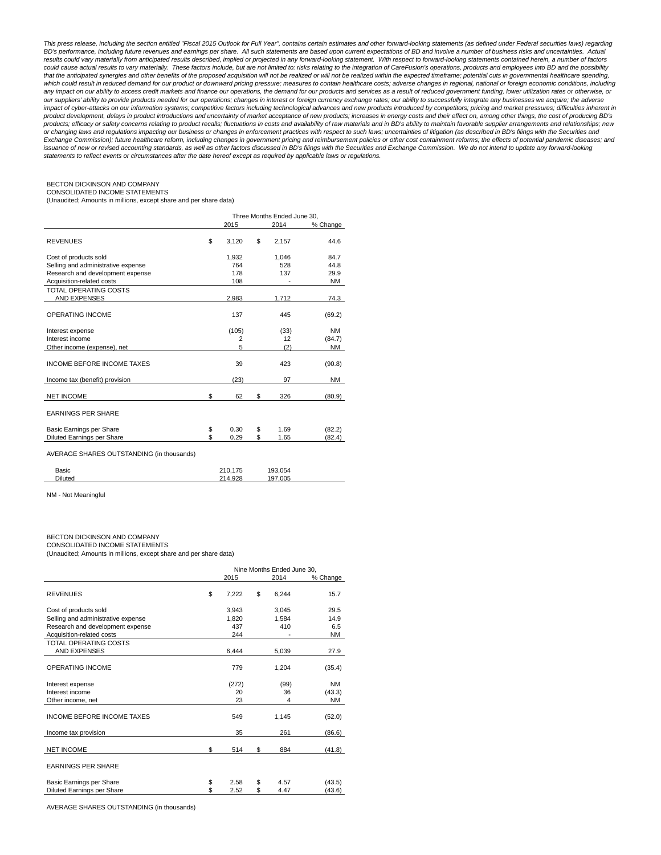This press release, including the section entitled "Fiscal 2015 Outlook for Full Year", contains certain estimates and other forward-looking statements (as defined under Federal securities laws) regarding BD's performance, including future revenues and earnings per share. All such statements are based upon current expectations of BD and involve a number of business risks and uncertainties. Actual results could vary materially from anticipated results described, implied or projected in any forward-looking statement. With respect to forward-looking statements contained herein, a number of factors could cause actual results to vary materially. These factors include, but are not limited to: risks relating to the integration of CareFusion's operations, products and employees into BD and the possibility that the anticipated synergies and other benefits of the proposed acquisition will not be realized or will not be realized within the expected timeframe; potential cuts in governmental healthcare spending, which could result in reduced demand for our product or downward pricing pressure; measures to contain healthcare costs; adverse changes in regional, national or foreign economic conditions, including any impact on our ability to access credit markets and finance our operations, the demand for our products and services as a result of reduced government funding, lower utilization rates or otherwise, or our suppliers' ability to provide products needed for our operations; changes in interest or foreign currency exchange rates; our ability to successfully integrate any businesses we acquire; the adverse impact of cyber-attacks on our information systems; competitive factors including technological advances and new products introduced by competitors; pricing and market pressures; difficulties inherent in product development, delays in product introductions and uncertainty of market acceptance of new products; increases in energy costs and their effect on, among other things, the cost of producing BD's products; efficacy or safety concerns relating to product recalls; fluctuations in costs and availability of raw materials and in BD's ability to maintain favorable supplier arrangements and relationships; new or changing laws and regulations impacting our business or changes in enforcement practices with respect to such laws; uncertainties of litigation (as described in BD's filings with the Securities and Exchange Commission); future healthcare reform, including changes in government pricing and reimbursement policies or other cost containment reforms; the effects of potential pandemic diseases; and issuance of new or revised accounting standards, as well as other factors discussed in BD's filings with the Securities and Exchange Commission. We do not intend to update any forward-looking statements to reflect events or circumstances after the date hereof except as required by applicable laws or regulations.

### BECTON DICKINSON AND COMPANY CONSOLIDATED INCOME STATEMENTS

(Unaudited; Amounts in millions, except share and per share data)

|                                           | Three Months Ended June 30, |         |    |         |           |  |  |  |  |  |
|-------------------------------------------|-----------------------------|---------|----|---------|-----------|--|--|--|--|--|
|                                           |                             | 2015    |    | 2014    | % Change  |  |  |  |  |  |
| <b>REVENUES</b>                           | \$                          | 3,120   | \$ | 2,157   | 44.6      |  |  |  |  |  |
| Cost of products sold                     |                             | 1,932   |    | 1,046   | 84.7      |  |  |  |  |  |
| Selling and administrative expense        |                             | 764     |    | 528     | 44.8      |  |  |  |  |  |
| Research and development expense          |                             | 178     |    | 137     | 29.9      |  |  |  |  |  |
| Acquisition-related costs                 |                             | 108     |    |         | <b>NM</b> |  |  |  |  |  |
| <b>TOTAL OPERATING COSTS</b>              |                             |         |    |         |           |  |  |  |  |  |
| <b>AND EXPENSES</b>                       |                             | 2,983   |    | 1,712   | 74.3      |  |  |  |  |  |
| <b>OPERATING INCOME</b>                   |                             | 137     |    | 445     | (69.2)    |  |  |  |  |  |
| Interest expense                          |                             | (105)   |    | (33)    | <b>NM</b> |  |  |  |  |  |
| Interest income                           |                             | 2       |    | 12      | (84.7)    |  |  |  |  |  |
| Other income (expense), net               |                             | 5       |    | (2)     | <b>NM</b> |  |  |  |  |  |
| <b>INCOME BEFORE INCOME TAXES</b>         |                             | 39      |    | 423     | (90.8)    |  |  |  |  |  |
| Income tax (benefit) provision            |                             | (23)    |    | 97      | ΝM        |  |  |  |  |  |
| <b>NET INCOME</b>                         | \$                          | 62      | \$ | 326     | (80.9)    |  |  |  |  |  |
| <b>EARNINGS PER SHARE</b>                 |                             |         |    |         |           |  |  |  |  |  |
| Basic Earnings per Share                  | \$                          | 0.30    | \$ | 1.69    | (82.2)    |  |  |  |  |  |
| Diluted Earnings per Share                | \$                          | 0.29    | \$ | 1.65    | (82.4)    |  |  |  |  |  |
| AVERAGE SHARES OUTSTANDING (in thousands) |                             |         |    |         |           |  |  |  |  |  |
| Basic                                     |                             | 210,175 |    | 193,054 |           |  |  |  |  |  |
| <b>Diluted</b>                            |                             | 214,928 |    | 197,005 |           |  |  |  |  |  |

NM - Not Meaningful

### BECTON DICKINSON AND COMPANY

CONSOLIDATED INCOME STATEMENTS

(Unaudited; Amounts in millions, except share and per share data)

|                                                               |          |                | Nine Months Ended June 30. |                |                     |
|---------------------------------------------------------------|----------|----------------|----------------------------|----------------|---------------------|
|                                                               |          | 2015           |                            | 2014           | % Change            |
| <b>REVENUES</b>                                               | \$       | 7,222          | \$                         | 6,244          | 15.7                |
| Cost of products sold<br>Selling and administrative expense   |          | 3.943<br>1,820 |                            | 3.045<br>1,584 | 29.5<br>14.9        |
| Research and development expense<br>Acquisition-related costs |          | 437<br>244     |                            | 410            | 6.5<br><b>NM</b>    |
| TOTAL OPERATING COSTS<br><b>AND EXPENSES</b>                  |          | 6,444          |                            | 5,039          | 27.9                |
| OPERATING INCOME                                              |          | 779            |                            | 1,204          | (35.4)              |
| Interest expense<br>Interest income                           |          | (272)<br>20    |                            | (99)<br>36     | <b>NM</b><br>(43.3) |
| Other income, net                                             |          | 23             |                            | 4              | <b>NM</b>           |
| <b>INCOME BEFORE INCOME TAXES</b>                             |          | 549            |                            | 1,145          | (52.0)              |
| Income tax provision                                          |          | 35             |                            | 261            | (86.6)              |
| <b>NET INCOME</b>                                             | \$       | 514            | \$                         | 884            | (41.8)              |
| <b>EARNINGS PER SHARE</b>                                     |          |                |                            |                |                     |
| Basic Earnings per Share<br>Diluted Earnings per Share        | \$<br>\$ | 2.58<br>2.52   | \$<br>\$                   | 4.57<br>4.47   | (43.5)<br>(43.6)    |

AVERAGE SHARES OUTSTANDING (in thousands)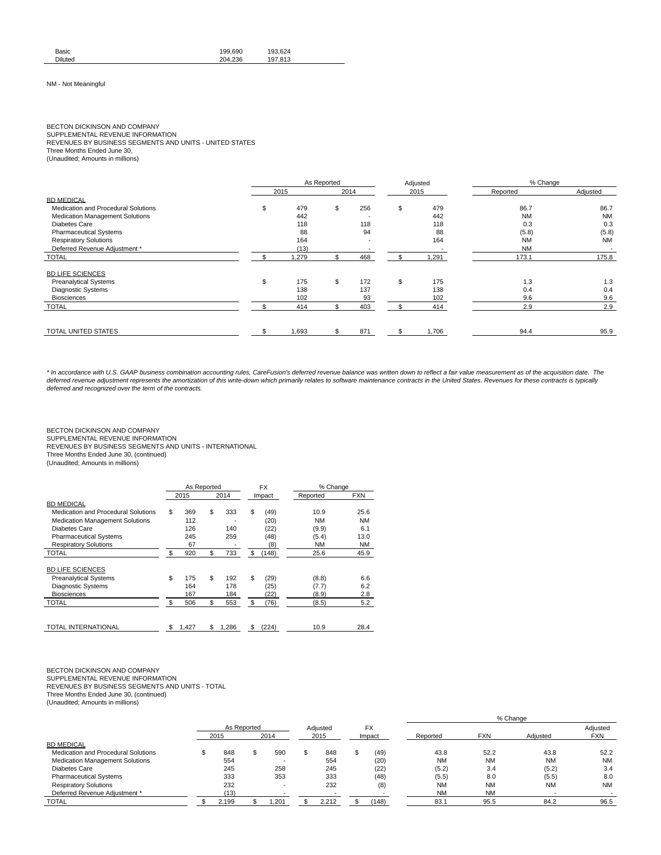| Basic          | 199.690 | 193.624 |  |
|----------------|---------|---------|--|
| <b>Diluted</b> | 204.236 | 197.813 |  |

### NM - Not Meaningful

# BECTON DICKINSON AND COMPANY

SUPPLEMENTAL REVENUE INFORMATION

REVENUES BY BUSINESS SEGMENTS AND UNITS - UNITED STATES

Three Months Ended June 30,

(Unaudited; Amounts in millions)

|                                        |    |       | As Reported |      |    | Adjusted | % Change  |                          |  |
|----------------------------------------|----|-------|-------------|------|----|----------|-----------|--------------------------|--|
|                                        |    | 2015  |             | 2014 |    | 2015     | Reported  | Adjusted                 |  |
| <b>BD MEDICAL</b>                      |    |       |             |      |    |          |           |                          |  |
| Medication and Procedural Solutions    | \$ | 479   | \$          | 256  | \$ | 479      | 86.7      | 86.7                     |  |
| <b>Medication Management Solutions</b> |    | 442   |             |      |    | 442      | <b>NM</b> | <b>NM</b>                |  |
| Diabetes Care                          |    | 118   |             | 118  |    | 118      | 0.3       | 0.3                      |  |
| <b>Pharmaceutical Systems</b>          |    | 88    |             | 94   |    | 88       | (5.8)     | (5.8)                    |  |
| <b>Respiratory Solutions</b>           |    | 164   |             |      |    | 164      | <b>NM</b> | <b>NM</b>                |  |
| Deferred Revenue Adjustment *          |    | (13)  |             |      |    |          | <b>NM</b> | $\overline{\phantom{a}}$ |  |
| <b>TOTAL</b>                           |    | 1,279 | \$          | 468  |    | 1,291    | 173.1     | 175.8                    |  |
| <b>BD LIFE SCIENCES</b>                |    |       |             |      |    |          |           |                          |  |
| <b>Preanalytical Systems</b>           | s. | 175   | \$          | 172  | \$ | 175      | 1.3       | 1.3                      |  |
| Diagnostic Systems                     |    | 138   |             | 137  |    | 138      | 0.4       | 0.4                      |  |
| <b>Biosciences</b>                     |    | 102   |             | 93   |    | 102      | 9.6       | 9.6                      |  |
| <b>TOTAL</b>                           |    | 414   |             | 403  |    | 414      | 2.9       | 2.9                      |  |
|                                        |    |       |             |      |    |          |           |                          |  |
| TOTAL UNITED STATES                    |    | 1,693 | \$          | 871  | S  | 1,706    | 94.4      | 95.9                     |  |

\* In accordance with U.S. GAAP business combination accounting rules, CareFusion's deferred revenue balance was written down to reflect a fair value measurement as of the acquisition date. The deferred revenue adjustment represents the amortization of this write-down which primarily relates to software maintenance contracts in the United States. Revenues for these contracts is typically deferred and recognized over the term of the contracts.

# BECTON DICKINSON AND COMPANY

SUPPLEMENTAL REVENUE INFORMATION

REVENUES BY BUSINESS SEGMENTS AND UNITS - INTERNATIONAL

Three Months Ended June 30, (continued)

(Unaudited; Amounts in millions)

|                                        | As Reported |             | <b>FX</b>   | % Change  |            |
|----------------------------------------|-------------|-------------|-------------|-----------|------------|
|                                        | 2015        | 2014        | Impact      | Reported  | <b>FXN</b> |
| <b>BD MEDICAL</b>                      |             |             |             |           |            |
| Medication and Procedural Solutions    | \$<br>369   | \$<br>333   | \$<br>(49)  | 10.9      | 25.6       |
| <b>Medication Management Solutions</b> | 112         |             | (20)        | <b>NM</b> | <b>NM</b>  |
| Diabetes Care                          | 126         | 140         | (22)        | (9.9)     | 6.1        |
| <b>Pharmaceutical Systems</b>          | 245         | 259         | (48)        | (5.4)     | 13.0       |
| <b>Respiratory Solutions</b>           | 67          |             | (8)         | <b>NM</b> | <b>NM</b>  |
| <b>TOTAL</b>                           | \$<br>920   | \$<br>733   | \$<br>(148) | 25.6      | 45.9       |
| <b>BD LIFE SCIENCES</b>                |             |             |             |           |            |
| <b>Preanalytical Systems</b>           | \$<br>175   | \$<br>192   | \$<br>(29)  | (8.8)     | 6.6        |
| <b>Diagnostic Systems</b>              | 164         | 178         | (25)        | (7.7)     | 6.2        |
| <b>Biosciences</b>                     | 167         | 184         | (22)        | (8.9)     | 2.8        |
| <b>TOTAL</b>                           | \$<br>506   | \$<br>553   | \$<br>(76)  | (8.5)     | 5.2        |
|                                        |             |             |             |           |            |
| <b>TOTAL INTERNATIONAL</b>             | \$<br>1,427 | \$<br>1.286 | \$<br>(224) | 10.9      | 28.4       |

# BECTON DICKINSON AND COMPANY

SUPPLEMENTAL REVENUE INFORMATION REVENUES BY BUSINESS SEGMENTS AND UNITS - TOTAL Three Months Ended June 30, (continued)

(Unaudited; Amounts in millions)

|                                        |             |       |  |                       |  |       |        |       | % Change  |            |           |            |  |
|----------------------------------------|-------------|-------|--|-----------------------|--|-------|--------|-------|-----------|------------|-----------|------------|--|
|                                        | As Reported |       |  | <b>FX</b><br>Adiusted |  |       |        |       | Adjusted  |            |           |            |  |
|                                        |             | 2015  |  | 2014                  |  | 2015  | Impact |       | Reported  | <b>FXN</b> | Adiusted  | <b>FXN</b> |  |
| <b>BD MEDICAL</b>                      |             |       |  |                       |  |       |        |       |           |            |           |            |  |
| Medication and Procedural Solutions    |             | 848   |  | 590                   |  | 848   |        | (49)  | 43.8      | 52.2       | 43.8      | 52.2       |  |
| <b>Medication Management Solutions</b> |             | 554   |  |                       |  | 554   |        | (20)  | <b>NM</b> | <b>NM</b>  | <b>NM</b> | <b>NM</b>  |  |
| Diabetes Care                          |             | 245   |  | 258                   |  | 245   |        | (22)  | (5.2)     | 3.4        | (5.2)     | 3.4        |  |
| <b>Pharmaceutical Systems</b>          |             | 333   |  | 353                   |  | 333   |        | (48)  | (5.5)     | 8.0        | (5.5)     | 8.0        |  |
| <b>Respiratory Solutions</b>           |             | 232   |  |                       |  | 232   |        | (8)   | <b>NM</b> | <b>NM</b>  | <b>NM</b> | <b>NM</b>  |  |
| Deferred Revenue Adjustment *          |             | (13)  |  |                       |  |       |        |       | <b>NM</b> | <b>NM</b>  |           |            |  |
| <b>TOTAL</b>                           |             | 2,199 |  | .201                  |  | 2.212 |        | (148) | 83.1      | 95.5       | 84.2      | 96.5       |  |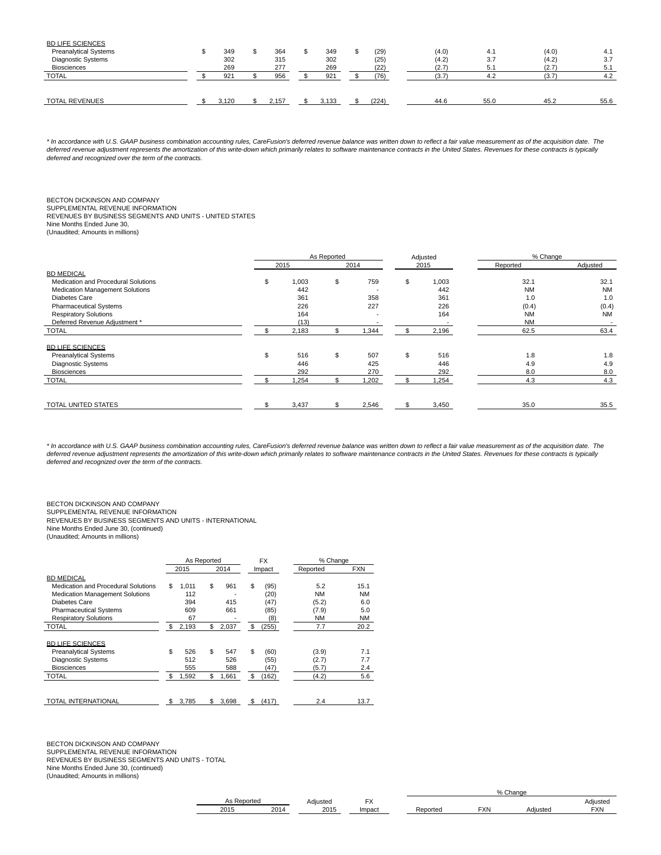| <b>BD LIFE SCIENCES</b>      |       |       |       |       |       |      |       |      |
|------------------------------|-------|-------|-------|-------|-------|------|-------|------|
| <b>Preanalytical Systems</b> | 349   | 364   | 349   | (29)  | (4.0) | 4.1  | (4.0) | 4.1  |
| <b>Diagnostic Systems</b>    | 302   | 315   | 302   | (25)  | (4.2) | 3.7  | (4.2) | 3.7  |
| <b>Biosciences</b>           | 269   | 277   | 269   | (22)  | (2.7) | 5.1  | (2.7) | 5.1  |
| <b>TOTAL</b>                 | 921   | 956   | 921   | (76)  | (3.7) | 4.2  | (3.7) | 4.2  |
|                              |       |       |       |       |       |      |       |      |
| <b>TOTAL REVENUES</b>        | 3.120 | 2.157 | 3.133 | (224) | 44.6  | 55.0 | 45.2  | 55.6 |

\* In accordance with U.S. GAAP business combination accounting rules, CareFusion's deferred revenue balance was written down to reflect a fair value measurement as of the acquisition date. The deferred revenue adjustment represents the amortization of this write-down which primarily relates to software maintenance contracts in the United States. Revenues for these contracts is typically deferred and recognized over the term of the contracts.

### BECTON DICKINSON AND COMPANY SUPPLEMENTAL REVENUE INFORMATION REVENUES BY BUSINESS SEGMENTS AND UNITS - UNITED STATES Nine Months Ended June 30, (Unaudited; Amounts in millions)

|                                        |    |       | As Reported |       | Adjusted    | % Change  |                          |
|----------------------------------------|----|-------|-------------|-------|-------------|-----------|--------------------------|
|                                        |    | 2015  |             | 2014  | 2015        | Reported  | Adjusted                 |
| <b>BD MEDICAL</b>                      |    |       |             |       |             |           |                          |
| Medication and Procedural Solutions    | ж  | 1,003 | \$          | 759   | \$<br>1,003 | 32.1      | 32.1                     |
| <b>Medication Management Solutions</b> |    | 442   |             |       | 442         | <b>NM</b> | <b>NM</b>                |
| Diabetes Care                          |    | 361   |             | 358   | 361         | 1.0       | 1.0                      |
| <b>Pharmaceutical Systems</b>          |    | 226   |             | 227   | 226         | (0.4)     | (0.4)                    |
| <b>Respiratory Solutions</b>           |    | 164   |             |       | 164         | <b>NM</b> | <b>NM</b>                |
| Deferred Revenue Adiustment *          |    | (13)  |             |       |             | <b>NM</b> | $\overline{\phantom{a}}$ |
| <b>TOTAL</b>                           |    | 2,183 | ж           | 1,344 | 2,196       | 62.5      | 63.4                     |
| <b>BD LIFE SCIENCES</b>                |    |       |             |       |             |           |                          |
| <b>Preanalytical Systems</b>           | \$ | 516   | \$          | 507   | \$<br>516   | 1.8       | 1.8                      |
| Diagnostic Systems                     |    | 446   |             | 425   | 446         | 4.9       | 4.9                      |
| <b>Biosciences</b>                     |    | 292   |             | 270   | 292         | 8.0       | 8.0                      |
| <b>TOTAL</b>                           |    | 1,254 | \$          | 1,202 | \$<br>1,254 | 4.3       | 4.3                      |
| TOTAL UNITED STATES                    |    | 3,437 |             | 2,546 | 3,450       | 35.0      | 35.5                     |

\* In accordance with U.S. GAAP business combination accounting rules, CareFusion's deferred revenue balance was written down to reflect a fair value measurement as of the acquisition date. The deferred revenue adjustment represents the amortization of this write-down which primarily relates to software maintenance contracts in the United States. Revenues for these contracts is typically deferred and recognized over the term of the contracts.

BECTON DICKINSON AND COMPANY

SUPPLEMENTAL REVENUE INFORMATION REVENUES BY BUSINESS SEGMENTS AND UNITS - INTERNATIONAL

Nine Months Ended June 30, (continued) (Unaudited; Amounts in millions)

|                                     | As Reported |             |     | <b>FX</b> | % Change  |            |
|-------------------------------------|-------------|-------------|-----|-----------|-----------|------------|
|                                     | 2015        | 2014        |     | Impact    | Reported  | <b>FXN</b> |
| <b>BD MEDICAL</b>                   |             |             |     |           |           |            |
| Medication and Procedural Solutions | \$<br>1.011 | \$<br>961   | \$  | (95)      | 5.2       | 15.1       |
| Medication Management Solutions     | 112         |             |     | (20)      | <b>NM</b> | <b>NM</b>  |
| Diabetes Care                       | 394         | 415         |     | (47)      | (5.2)     | 6.0        |
| <b>Pharmaceutical Systems</b>       | 609         | 661         |     | (85)      | (7.9)     | 5.0        |
| <b>Respiratory Solutions</b>        | 67          |             |     | (8)       | <b>NM</b> | <b>NM</b>  |
| <b>TOTAL</b>                        | \$<br>2,193 | \$<br>2,037 | \$  | (255)     | 7.7       | 20.2       |
|                                     |             |             |     |           |           |            |
| <b>BD LIFE SCIENCES</b>             |             |             |     |           |           |            |
| <b>Preanalytical Systems</b>        | \$<br>526   | \$<br>547   | \$  | (60)      | (3.9)     | 7.1        |
| <b>Diagnostic Systems</b>           | 512         | 526         |     | (55)      | (2.7)     | 7.7        |
| <b>Biosciences</b>                  | 555         | 588         |     | (47)      | (5.7)     | 2.4        |
| <b>TOTAL</b>                        | \$<br>1.592 | \$<br>1.661 | \$  | (162)     | (4.2)     | 5.6        |
|                                     |             |             |     |           |           |            |
|                                     |             |             |     |           |           |            |
| TOTAL INTERNATIONAL                 | \$<br>3.785 | \$<br>3.698 | \$. | (417)     | 2.4       | 13.7       |

BECTON DICKINSON AND COMPANY SUPPLEMENTAL REVENUE INFORMATION REVENUES BY BUSINESS SEGMENTS AND UNITS - TOTAL Nine Months Ended June 30, (continued) (Unaudited; Amounts in millions)

| טר   |                                      | Adiusteg | $\mathbf{r}$<br>$\sqrt{ }$ |          |            |          | Adiusteu   |
|------|--------------------------------------|----------|----------------------------|----------|------------|----------|------------|
| 2015 | <b>2015</b><br>201<br>20 I U<br>ZU H |          | Impact                     | Peported | <b>EXN</b> | \diusted | <b>FXN</b> |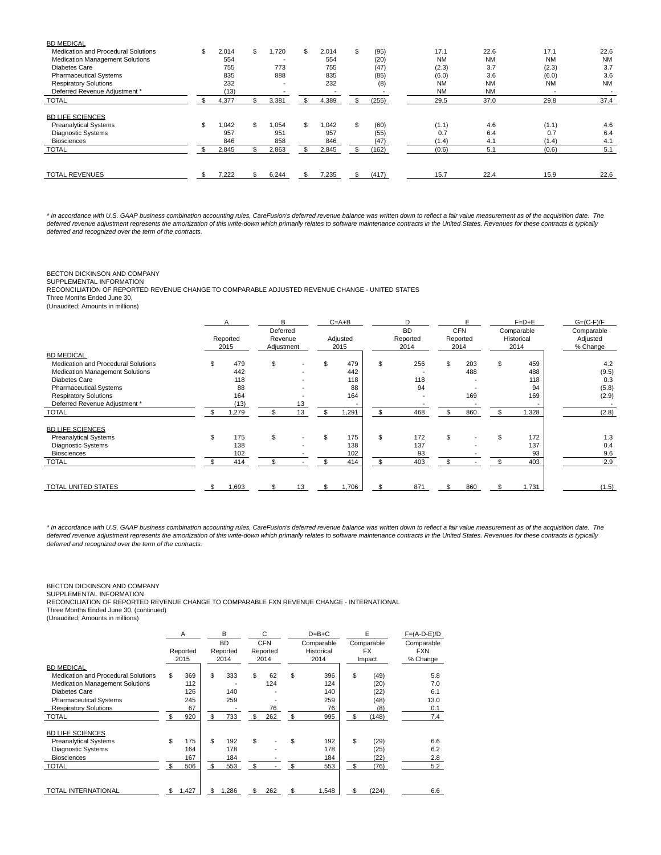| <b>BD MEDICAL</b>                   |             |     |                          |     |       |     |       |           |           |           |           |
|-------------------------------------|-------------|-----|--------------------------|-----|-------|-----|-------|-----------|-----------|-----------|-----------|
| Medication and Procedural Solutions | \$<br>2,014 | \$  | .720                     | \$  | 2,014 | \$  | (95)  | 17.1      | 22.6      | 17.1      | 22.6      |
| Medication Management Solutions     | 554         |     |                          |     | 554   |     | (20)  | <b>NM</b> | <b>NM</b> | <b>NM</b> | <b>NM</b> |
| <b>Diabetes Care</b>                | 755         |     | 773                      |     | 755   |     | (47)  | (2.3)     | 3.7       | (2.3)     | 3.7       |
| <b>Pharmaceutical Systems</b>       | 835         |     | 888                      |     | 835   |     | (85)  | (6.0)     | 3.6       | (6.0)     | 3.6       |
| <b>Respiratory Solutions</b>        | 232         |     | $\overline{\phantom{a}}$ |     | 232   |     | (8)   | <b>NM</b> | <b>NM</b> | <b>NM</b> | <b>NM</b> |
| Deferred Revenue Adjustment *       | (13)        |     |                          |     |       |     |       | <b>NM</b> | <b>NM</b> |           |           |
| <b>TOTAL</b>                        | 4,377       | \$  | 3,381                    | \$. | 4,389 |     | (255) | 29.5      | 37.0      | 29.8      | 37.4      |
| <b>BD LIFE SCIENCES</b>             |             |     |                          |     |       |     |       |           |           |           |           |
| <b>Preanalytical Systems</b>        | \$<br>1,042 | \$  | 1.054                    | \$  | .042  | \$  | (60)  | (1.1)     | 4.6       | (1.1)     | 4.6       |
| Diagnostic Systems                  | 957         |     | 951                      |     | 957   |     | (55)  | 0.7       | 6.4       | 0.7       | 6.4       |
| <b>Biosciences</b>                  | 846         |     | 858                      |     | 846   |     | (47)  | (1.4)     | 4.1       | (1.4)     | 4.1       |
| <b>TOTAL</b>                        | 2,845       | \$. | 2,863                    |     | 2,845 |     | (162) | (0.6)     | 5.1       | (0.6)     | 5.1       |
|                                     |             |     |                          |     |       |     |       |           |           |           |           |
| <b>TOTAL REVENUES</b>               | 7.222       | \$  | 6.244                    | \$. | 7,235 | \$. | (417) | 15.7      | 22.4      | 15.9      | 22.6      |
|                                     |             |     |                          |     |       |     |       |           |           |           |           |

\* In accordance with U.S. GAAP business combination accounting rules, CareFusion's deferred revenue balance was written down to reflect a fair value measurement as of the acquisition date. The deferred revenue adjustment represents the amortization of this write-down which primarily relates to software maintenance contracts in the United States. Revenues for these contracts is typically deferred and recognized over the term of the contracts.

# BECTON DICKINSON AND COMPANY

SUPPLEMENTAL INFORMATION

RECONCILIATION OF REPORTED REVENUE CHANGE TO COMPARABLE ADJUSTED REVENUE CHANGE - UNITED STATES

Three Months Ended June 30, (Unaudited; Amounts in millions)

|                                     | A        | R                   |    | $C = A + B$ | D                     |     |                        |     | $F=D+E$                  | $G=(C-F)/F$            |
|-------------------------------------|----------|---------------------|----|-------------|-----------------------|-----|------------------------|-----|--------------------------|------------------------|
|                                     | Reported | Deferred<br>Revenue |    | Adjusted    | <b>BD</b><br>Reported |     | <b>CFN</b><br>Reported |     | Comparable<br>Historical | Comparable<br>Adjusted |
|                                     | 2015     | Adjustment          |    | 2015        | 2014                  |     | 2014                   |     | 2014                     | % Change               |
| <b>BD MEDICAL</b>                   |          |                     |    |             |                       |     |                        |     |                          |                        |
| Medication and Procedural Solutions | 479      | \$                  |    | 479         | \$<br>256             | \$  | 203                    | \$  | 459                      | 4.2                    |
| Medication Management Solutions     | 442      |                     |    | 442         |                       |     | 488                    |     | 488                      | (9.5)                  |
| Diabetes Care                       | 118      |                     |    | 118         | 118                   |     |                        |     | 118                      | 0.3                    |
| <b>Pharmaceutical Systems</b>       | 88       |                     |    | 88          | 94                    |     |                        |     | 94                       | (5.8)                  |
| <b>Respiratory Solutions</b>        | 164      |                     |    | 164         |                       |     | 169                    |     | 169                      | (2.9)                  |
| Deferred Revenue Adjustment *       | (13)     |                     | 13 |             |                       |     |                        |     |                          |                        |
| <b>TOTAL</b>                        | ,279     |                     | 13 | \$<br>,291  | \$<br>468             | \$  | 860                    | \$. | 1,328                    | (2.8)                  |
| <b>BD LIFE SCIENCES</b>             |          |                     |    |             |                       |     |                        |     |                          |                        |
| <b>Preanalytical Systems</b>        | 175      | \$                  |    | 175         | \$<br>172             | \$. |                        | \$  | 172                      | 1.3                    |
| <b>Diagnostic Systems</b>           | 138      |                     |    | 138         | 137                   |     |                        |     | 137                      | 0.4                    |
| <b>Biosciences</b>                  | 102      |                     |    | 102         | 93                    |     |                        |     | 93                       | 9.6                    |
| <b>TOTAL</b>                        | 414      |                     |    | 414         | \$<br>403             |     |                        |     | 403                      | 2.9                    |
|                                     |          |                     |    |             |                       |     |                        |     |                          |                        |
| TOTAL UNITED STATES                 | 1,693    |                     | 13 | 1,706       | 871                   |     | 860                    |     | 1,731                    | (1.5)                  |

\* In accordance with U.S. GAAP business combination accounting rules, CareFusion's deferred revenue balance was written down to reflect a fair value measurement as of the acquisition date. The deferred revenue adjustment represents the amortization of this write-down which primarily relates to software maintenance contracts in the United States. Revenues for these contracts is typically deferred and recognized over the term of the contracts.

# BECTON DICKINSON AND COMPANY SUPPLEMENTAL INFORMATION

RECONCILIATION OF REPORTED REVENUE CHANGE TO COMPARABLE FXN REVENUE CHANGE - INTERNATIONAL

Three Months Ended June 30, (continued)

| (Unaudited; Amounts in millions) |  |  |  |
|----------------------------------|--|--|--|
|----------------------------------|--|--|--|

|                                     | A           | B<br><b>BD</b> | C<br><b>CFN</b> |    | $D=B+C$<br>Comparable | E<br>Comparable | $F=(A-D-E)/D$<br>Comparable |
|-------------------------------------|-------------|----------------|-----------------|----|-----------------------|-----------------|-----------------------------|
|                                     | Reported    | Reported       | Reported        |    | Historical            | <b>FX</b>       | <b>FXN</b>                  |
|                                     | 2015        | 2014           | 2014            |    | 2014                  | Impact          | % Change                    |
| <b>BD MEDICAL</b>                   |             |                |                 |    |                       |                 |                             |
| Medication and Procedural Solutions | \$<br>369   | \$<br>333      | \$<br>62        | \$ | 396                   | \$<br>(49)      | 5.8                         |
| Medication Management Solutions     | 112         |                | 124             |    | 124                   | (20)            | 7.0                         |
| <b>Diabetes Care</b>                | 126         | 140            |                 |    | 140                   | (22)            | 6.1                         |
| <b>Pharmaceutical Systems</b>       | 245         | 259            |                 |    | 259                   | (48)            | 13.0                        |
| <b>Respiratory Solutions</b>        | 67          |                | 76              |    | 76                    | (8)             | 0.1                         |
| <b>TOTAL</b>                        | \$<br>920   | \$<br>733      | \$<br>262       | \$ | 995                   | \$<br>(148)     | 7.4                         |
| <b>BD LIFE SCIENCES</b>             |             |                |                 |    |                       |                 |                             |
| <b>Preanalytical Systems</b>        | \$<br>175   | \$<br>192      | \$              | \$ | 192                   | \$<br>(29)      | 6.6                         |
| <b>Diagnostic Systems</b>           | 164         | 178            |                 |    | 178                   | (25)            | 6.2                         |
| <b>Biosciences</b>                  | 167         | 184            |                 |    | 184                   | (22)            | 2.8                         |
| <b>TOTAL</b>                        | 506         | \$<br>553      | \$              | \$ | 553                   | \$<br>(76)      | 5.2                         |
| TOTAL INTERNATIONAL                 | \$<br>1,427 | \$<br>,286     | \$<br>262       | S  | 1,548                 | \$<br>(224)     | 6.6                         |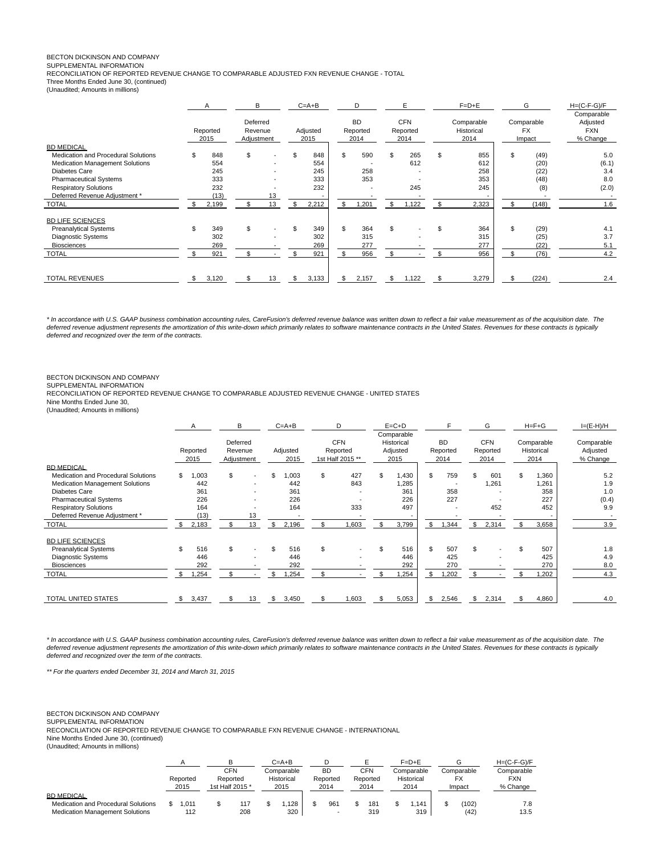# BECTON DICKINSON AND COMPANY

SUPPLEMENTAL INFORMATION

RECONCILIATION OF REPORTED REVENUE CHANGE TO COMPARABLE ADJUSTED FXN REVENUE CHANGE - TOTAL

Three Months Ended June 30, (continued)

(Unaudited; Amounts in millions)

|                                        | A                | В  |                                   |  | $C = A + B$      | D                             |     | E                              | $F=D+E$                          |     | G                                 | $H=(C-F-G)/F$                                    |
|----------------------------------------|------------------|----|-----------------------------------|--|------------------|-------------------------------|-----|--------------------------------|----------------------------------|-----|-----------------------------------|--------------------------------------------------|
|                                        | Reported<br>2015 |    | Deferred<br>Revenue<br>Adjustment |  | Adjusted<br>2015 | <b>BD</b><br>Reported<br>2014 |     | <b>CFN</b><br>Reported<br>2014 | Comparable<br>Historical<br>2014 |     | Comparable<br><b>FX</b><br>Impact | Comparable<br>Adjusted<br><b>FXN</b><br>% Change |
| <b>BD MEDICAL</b>                      |                  |    |                                   |  |                  |                               |     |                                |                                  |     |                                   |                                                  |
| Medication and Procedural Solutions    | \$<br>848        | \$ |                                   |  | 848              | \$<br>590                     | \$. | 265                            | \$<br>855                        | \$. | (49)                              | 5.0                                              |
| <b>Medication Management Solutions</b> | 554              |    |                                   |  | 554              |                               |     | 612                            | 612                              |     | (20)                              | (6.1)                                            |
| Diabetes Care                          | 245              |    | ۰.                                |  | 245              | 258                           |     |                                | 258                              |     | (22)                              | 3.4                                              |
| <b>Pharmaceutical Systems</b>          | 333              |    |                                   |  | 333              | 353                           |     |                                | 353                              |     | (48)                              | 8.0                                              |
| <b>Respiratory Solutions</b>           | 232              |    |                                   |  | 232              |                               |     | 245                            | 245                              |     | (8)                               | (2.0)                                            |
| Deferred Revenue Adjustment *          | (13)             |    | 13                                |  | -                |                               |     |                                |                                  |     |                                   |                                                  |
| <b>TOTAL</b>                           | 2,199            |    | 13                                |  | 2,212            | \$<br>1,201                   | S   | 1,122                          | 2,323                            | \$  | (148)                             | 1.6                                              |
| <b>BD LIFE SCIENCES</b>                |                  |    |                                   |  |                  |                               |     |                                |                                  |     |                                   |                                                  |
| <b>Preanalytical Systems</b>           | \$<br>349        | \$ |                                   |  | 349              | \$<br>364                     | \$  |                                | 364                              | \$  | (29)                              | 4.1                                              |
| <b>Diagnostic Systems</b>              | 302              |    |                                   |  | 302              | 315                           |     |                                | 315                              |     | (25)                              | 3.7                                              |
| <b>Biosciences</b>                     | 269              |    |                                   |  | 269              | 277                           |     |                                | 277                              |     | (22)                              | 5.1                                              |
| <b>TOTAL</b>                           | 921              |    |                                   |  | 921              | 956                           | \$  |                                | 956                              | \$  | (76)                              | 4.2                                              |
| <b>TOTAL REVENUES</b>                  | 3,120            |    | 13                                |  | 3,133            | \$<br>2,157                   | \$  | 1,122                          | 3,279                            |     | (224)                             | 2.4                                              |

\* In accordance with U.S. GAAP business combination accounting rules, CareFusion's deferred revenue balance was written down to reflect a fair value measurement as of the acquisition date. The deferred revenue adjustment represents the amortization of this write-down which primarily relates to software maintenance contracts in the United States. Revenues for these contracts is typically deferred and recognized over the term of the contracts.

BECTON DICKINSON AND COMPANY

SUPPLEMENTAL INFORMATION

RECONCILIATION OF REPORTED REVENUE CHANGE TO COMPARABLE ADJUSTED REVENUE CHANGE - UNITED STATES Nine Months Ended June 30,

(Unaudited; Amounts in millions)

|                                     |     | A                | В                                 |    | $C = A + B$      |     | D                                          |    | $E = C + D$                                  |                               |     | G                              | $H = F + G$                      | $I=(E-H)/H$                        |
|-------------------------------------|-----|------------------|-----------------------------------|----|------------------|-----|--------------------------------------------|----|----------------------------------------------|-------------------------------|-----|--------------------------------|----------------------------------|------------------------------------|
|                                     |     | Reported<br>2015 | Deferred<br>Revenue<br>Adjustment |    | Adjusted<br>2015 |     | <b>CFN</b><br>Reported<br>1st Half 2015 ** |    | Comparable<br>Historical<br>Adjusted<br>2015 | <b>BD</b><br>Reported<br>2014 |     | <b>CFN</b><br>Reported<br>2014 | Comparable<br>Historical<br>2014 | Comparable<br>Adjusted<br>% Change |
| <b>BD MEDICAL</b>                   |     |                  |                                   |    |                  |     |                                            |    |                                              |                               |     |                                |                                  |                                    |
| Medication and Procedural Solutions | \$  | 003              | \$                                | ۰  | 003 <sub>1</sub> | \$  | 427                                        | £. | 1,430                                        | \$<br>759                     |     | 601                            | \$<br>1,360                      | 5.2                                |
| Medication Management Solutions     |     | 442              |                                   | ۰  | 442              |     | 843                                        |    | .285                                         |                               |     | 1,261                          | 1,261                            | 1.9                                |
| Diabetes Care                       |     | 361              |                                   | ٠  | 361              |     |                                            |    | 361                                          | 358                           |     |                                | 358                              | 1.0                                |
| <b>Pharmaceutical Systems</b>       |     | 226              |                                   | ٠  | 226              |     |                                            |    | 226                                          | 227                           |     |                                | 227                              | (0.4)                              |
| <b>Respiratory Solutions</b>        |     | 164              |                                   |    | 164              |     | 333                                        |    | 497                                          |                               |     | 452                            | 452                              | 9.9                                |
| Deferred Revenue Adjustment *       |     | (13)             |                                   | 13 |                  |     |                                            |    |                                              |                               |     |                                |                                  |                                    |
| <b>TOTAL</b>                        |     | 2,183            | \$                                | 13 | \$<br>2,196      | \$  | ,603                                       | \$ | 3,799                                        | \$<br>,344                    | \$  | 2,314                          | \$<br>3,658                      | 3.9                                |
| <b>BD LIFE SCIENCES</b>             |     |                  |                                   |    |                  |     |                                            |    |                                              |                               |     |                                |                                  |                                    |
| <b>Preanalytical Systems</b>        | \$  | 516              | \$                                | ٠  | 516              | \$  |                                            | \$ | 516                                          | \$<br>507                     | S.  |                                | \$<br>507                        | 1.8                                |
| <b>Diagnostic Systems</b>           |     | 446              |                                   |    | 446              |     |                                            |    | 446                                          | 425                           |     |                                | 425                              | 4.9                                |
| <b>Biosciences</b>                  |     | 292              |                                   |    | 292              |     |                                            |    | 292                                          | 270                           |     |                                | 270                              | 8.0                                |
| <b>TOTAL</b>                        |     | .254             | \$.                               |    | .254             | \$. |                                            |    | .254                                         | \$<br>,202                    | \$  |                                | .202                             | 4.3                                |
| TOTAL UNITED STATES                 | \$. | 3,437            |                                   | 13 | \$<br>3,450      |     | ,603                                       |    | 5,053                                        | \$<br>2,546                   | \$. | 2,314                          | 4,860                            | 4.0                                |

\* In accordance with U.S. GAAP business combination accounting rules, CareFusion's deferred revenue balance was written down to reflect a fair value measurement as of the acquisition date. The deferred revenue adjustment represents the amortization of this write-down which primarily relates to software maintenance contracts in the United States. Revenues for these contracts is typically deferred and recognized over the term of the contracts.

\*\* For the quarters ended December 31, 2014 and March 31, 2015

BECTON DICKINSON AND COMPANY

SUPPLEMENTAL INFORMATION

RECONCILIATION OF REPORTED REVENUE CHANGE TO COMPARABLE FXN REVENUE CHANGE - INTERNATIONAL

Nine Months Ended June 30, (continued)

(Unaudited; Amounts in millions)

|                                        |          |  | в               |  | $C = A + B$ |           |          | $F=D+E$    |            | $H=(C-F-G)/F$ |
|----------------------------------------|----------|--|-----------------|--|-------------|-----------|----------|------------|------------|---------------|
|                                        |          |  | CFN<br>Reported |  | Comparable  | <b>BD</b> | CFN      | Comparable | Comparable | Comparable    |
|                                        | Reported |  |                 |  | Historical  | Reported  | Reported | Historical | <b>FX</b>  | <b>FXN</b>    |
|                                        | 2015     |  | 1st Half 2015 * |  | 2015        | 2014      | 2014     | 2014       | Impact     | % Change      |
| <b>BD MEDICAL</b>                      |          |  |                 |  |             |           |          |            |            |               |
| Medication and Procedural Solutions    | .011     |  | 117             |  | 128         | 961       | 181      | 141        | (102)      | 7.8           |
| <b>Medication Management Solutions</b> | 112      |  | 208             |  | 320         |           | 319      | 319        | (42)       | 13.5          |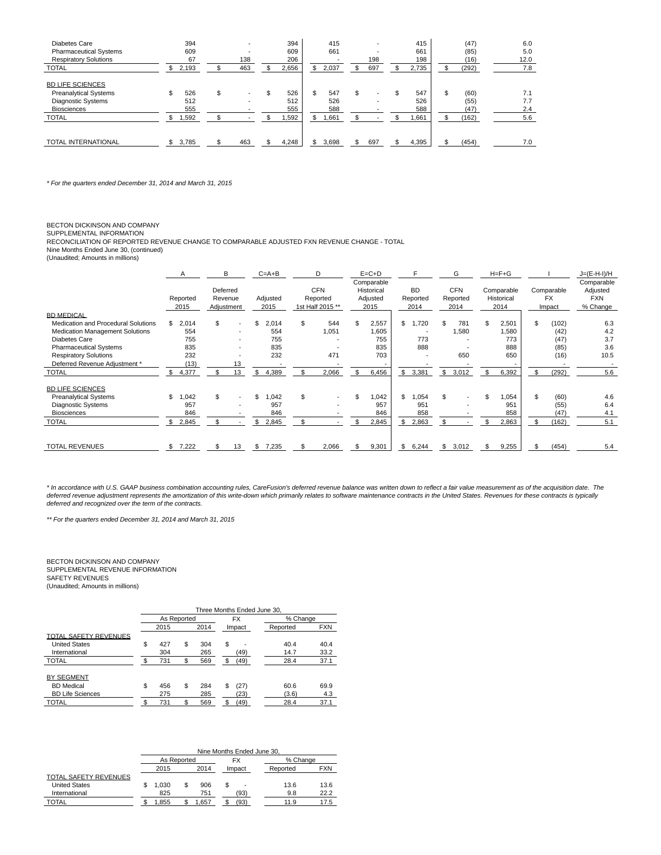| Diabetes Care                 | 394         | ۰       |     | 394   |   | 415   |     |                          | 415   | (47)  | 6.0  |
|-------------------------------|-------------|---------|-----|-------|---|-------|-----|--------------------------|-------|-------|------|
| <b>Pharmaceutical Systems</b> | 609         |         |     | 609   |   | 661   |     |                          | 661   | (85)  | 5.0  |
| <b>Respiratory Solutions</b>  | 67          | 138     |     | 206   |   |       |     | 198                      | 198   | (16)  | 12.0 |
| <b>TOTAL</b>                  | 2,193<br>\$ | 463     |     | 2,656 | S | 2,037 | S   | 697                      | 2,735 | (292) | 7.8  |
| <b>BD LIFE SCIENCES</b>       |             |         |     |       |   |       |     |                          |       |       |      |
| <b>Preanalytical Systems</b>  | 526<br>\$   | \$<br>- | \$. | 526   |   | 547   | S   | $\overline{\phantom{a}}$ | 547   | (60)  | 7.1  |
| Diagnostic Systems            | 512         | ۰       |     | 512   |   | 526   |     |                          | 526   | (55)  | 7.7  |
| <b>Biosciences</b>            | 555         |         |     | 555   |   | 588   |     |                          | 588   | (47)  | 2.4  |
| <b>TOTAL</b>                  | 1,592       |         |     | .592  |   | 1,661 |     |                          | .661  | (162) | 5.6  |
|                               |             |         |     |       |   |       |     |                          |       |       |      |
| <b>TOTAL INTERNATIONAL</b>    | \$<br>3,785 | 463     |     | 4.248 |   | 3.698 | \$. | 697                      | 4.395 | (454) | 7.0  |

\* For the quarters ended December 31, 2014 and March 31, 2015

BECTON DICKINSON AND COMPANY

SUPPLEMENTAL INFORMATION

RECONCILIATION OF REPORTED REVENUE CHANGE TO COMPARABLE ADJUSTED FXN REVENUE CHANGE - TOTAL

Nine Months Ended June 30, (continued) (Unaudited; Amounts in millions)

|                                     | A                | B          |                          | $C = A + B$  |     | D                        | $E = C + D$              | F           | G           | $H = F + G$ |     |            | $J=(E-H-I)/H$          |
|-------------------------------------|------------------|------------|--------------------------|--------------|-----|--------------------------|--------------------------|-------------|-------------|-------------|-----|------------|------------------------|
|                                     |                  | Deferred   |                          |              |     | <b>CFN</b>               | Comparable<br>Historical | <b>BD</b>   | <b>CFN</b>  | Comparable  |     | Comparable | Comparable<br>Adjusted |
|                                     | Reported         | Revenue    |                          | Adjusted     |     | Reported                 | Adjusted                 | Reported    | Reported    | Historical  |     | <b>FX</b>  | <b>FXN</b>             |
|                                     | 2015             | Adjustment |                          | 2015         |     | 1st Half 2015 **         | 2015                     | 2014        | 2014        | 2014        |     | Impact     | % Change               |
| <b>BD MEDICAL</b>                   |                  |            |                          |              |     |                          |                          |             |             |             |     |            |                        |
| Medication and Procedural Solutions | \$<br>2,014      | \$.        | $\overline{\phantom{a}}$ | 2,014        | \$  | 544                      | 2,557                    | \$<br>,720  | 781         | 2,501       | \$  | (102)      | 6.3                    |
| Medication Management Solutions     | 554              |            |                          | 554          |     | 1,051                    | 1,605                    |             | 1,580       | 1,580       |     | (42)       | 4.2                    |
| <b>Diabetes Care</b>                | 755              |            |                          | 755          |     |                          | 755                      | 773         |             | 773         |     | (47)       | 3.7                    |
| <b>Pharmaceutical Systems</b>       | 835              |            |                          | 835          |     |                          | 835                      | 888         |             | 888         |     | (85)       | 3.6                    |
| <b>Respiratory Solutions</b>        | 232              |            |                          | 232          |     | 471                      | 703                      |             | 650         | 650         |     | (16)       | 10.5                   |
| Deferred Revenue Adjustment *       | (13)             |            | 13                       |              |     | $\overline{\phantom{a}}$ | $\overline{\phantom{a}}$ |             |             |             |     |            |                        |
| <b>TOTAL</b>                        | 4,377            | \$         | 13                       | 4,389<br>\$  |     | 2,066                    | 6,456                    | \$<br>3,381 | \$<br>3,012 | 6,392       | \$  | (292)      | 5.6                    |
| <b>BD LIFE SCIENCES</b>             |                  |            |                          |              |     |                          |                          |             |             |             |     |            |                        |
| <b>Preanalytical Systems</b>        | \$<br>,042<br>-1 | \$.        | $\overline{\phantom{a}}$ | 1,042<br>\$  | \$. | $\overline{\phantom{a}}$ | 1,042                    | \$<br>,054  | \$          | 1,054       | \$  | (60)       | 4.6                    |
| <b>Diagnostic Systems</b>           | 957              |            |                          | 957          |     | ٠                        | 957                      | 951         |             | 951         |     | (55)       | 6.4                    |
| <b>Biosciences</b>                  | 846              |            |                          | 846          |     |                          | 846                      | 858         |             | 858         |     | (47)       | 4.1                    |
| <b>TOTAL</b>                        | 2,845            |            |                          | 2,845<br>SS. | \$  |                          | 2,845                    | \$<br>2,863 |             | 2,863       | \$  | (162)      | 5.1                    |
|                                     |                  |            |                          |              |     |                          |                          |             |             |             |     |            |                        |
| <b>TOTAL REVENUES</b>               | \$.<br>7,222     |            | 13                       | 7,235<br>\$  |     | 2,066                    | 9,301                    | \$<br>6,244 | \$<br>3,012 | 9,255       | \$. | (454)      | 5.4                    |

\* In accordance with U.S. GAAP business combination accounting rules, CareFusion's deferred revenue balance was written down to reflect a fair value measurement as of the acquisition date. The deferred revenue adjustment represents the amortization of this write-down which primarily relates to software maintenance contracts in the United States. Revenues for these contracts is typically deferred and recognized over the term of the contracts.

\*\* For the quarters ended December 31, 2014 and March 31, 2015

BECTON DICKINSON AND COMPANY SUPPLEMENTAL REVENUE INFORMATION SAFETY REVENUES (Unaudited; Amounts in millions)

|                         |             |    |      |     | Three Months Ended June 30, |          |            |
|-------------------------|-------------|----|------|-----|-----------------------------|----------|------------|
|                         | As Reported |    |      |     | FX                          |          | % Change   |
|                         | 2015        |    | 2014 |     | Impact                      | Reported | <b>FXN</b> |
| TOTAL SAFETY REVENUES   |             |    |      |     |                             |          |            |
| <b>United States</b>    | \$<br>427   | S  | 304  | \$  |                             | 40.4     | 40.4       |
| International           | 304         |    | 265  |     | (49)                        | 14.7     | 33.2       |
| <b>TOTAL</b>            | 731         | S. | 569  | \$. | (49)                        | 28.4     | 37.1       |
|                         |             |    |      |     |                             |          |            |
| BY SEGMENT              |             |    |      |     |                             |          |            |
| <b>BD</b> Medical       | \$<br>456   | \$ | 284  | S   | (27)                        | 60.6     | 69.9       |
| <b>BD Life Sciences</b> | 275         |    | 285  |     | (23)                        | (3.6)    | 4.3        |
| <b>TOTAL</b>            | 731         | \$ | 569  |     | (49)                        | 28.4     | 37.1       |
|                         |             |    |      |     |                             |          |            |

|                       |              |             |   |       |  | Nine Months Ended June 30. |          |            |
|-----------------------|--------------|-------------|---|-------|--|----------------------------|----------|------------|
|                       |              | As Reported |   |       |  | FX                         |          | % Change   |
|                       | 2014<br>2015 |             |   |       |  | Impact                     | Reported | <b>FXN</b> |
| TOTAL SAFETY REVENUES |              |             |   |       |  |                            |          |            |
| <b>United States</b>  |              | 1.030       | S | 906   |  |                            | 13.6     | 13.6       |
| International         |              | 825         |   | 751   |  | (93)                       | 9.8      | 22.2       |
| <b>TOTAL</b>          |              | 1.855       |   | 1.657 |  | (93)                       | 11.9     | 17.5       |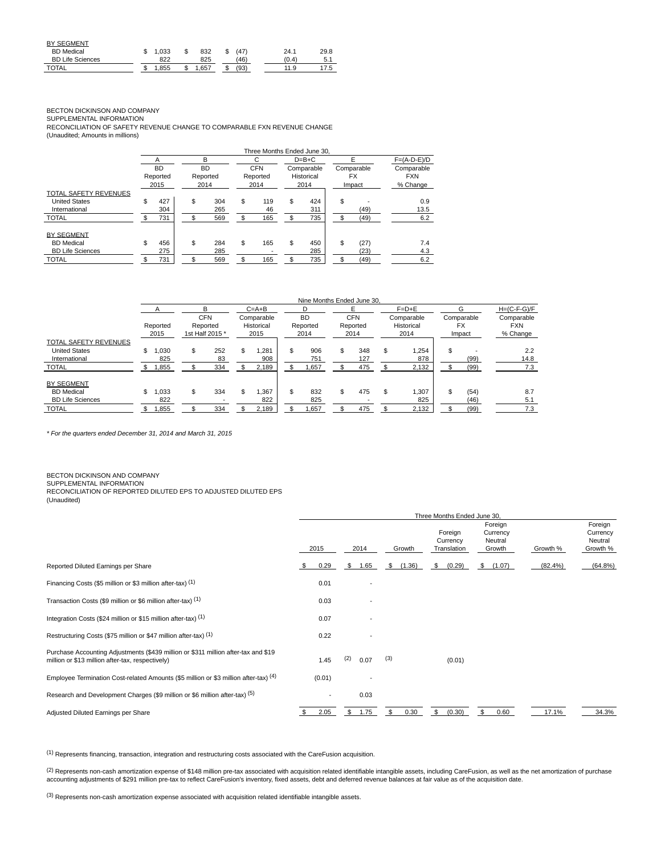| <b>BY SEGMENT</b>       |       |   |       |      |      |      |
|-------------------------|-------|---|-------|------|------|------|
| <b>BD</b> Medical       | 1.033 | S | 832   | (47) | 24.1 | 29.8 |
| <b>BD Life Sciences</b> | 822   |   | 825   | (46) | (0.4 | 5.1  |
| <b>TOTAL</b>            | 1.855 |   | . 657 | (93) | 11.9 | 17.5 |

BECTON DICKINSON AND COMPANY

SUPPLEMENTAL INFORMATION

RECONCILIATION OF SAFETY REVENUE CHANGE TO COMPARABLE FXN REVENUE CHANGE (Unaudited; Amounts in millions)

|                         | Three Months Ended June 30. |           |    |           |    |            |    |            |    |            |               |  |  |  |
|-------------------------|-----------------------------|-----------|----|-----------|----|------------|----|------------|----|------------|---------------|--|--|--|
|                         |                             |           |    | B         |    | C          |    | $D=B+C$    |    |            | $F=(A-D-E)/D$ |  |  |  |
|                         |                             | <b>BD</b> |    | <b>BD</b> |    | <b>CFN</b> |    | Comparable |    | Comparable | Comparable    |  |  |  |
|                         |                             | Reported  |    | Reported  |    | Reported   |    | Historical |    | <b>FX</b>  | <b>FXN</b>    |  |  |  |
|                         |                             | 2015      |    | 2014      |    | 2014       |    | 2014       |    | Impact     | % Change      |  |  |  |
| TOTAL SAFETY REVENUES   |                             |           |    |           |    |            |    |            |    |            |               |  |  |  |
| <b>United States</b>    | S                           | 427       | \$ | 304       | \$ | 119        | \$ | 424        | \$ |            | 0.9           |  |  |  |
| International           |                             | 304       |    | 265       |    | 46         |    | 311        |    | (49)       | 13.5          |  |  |  |
| <b>TOTAL</b>            |                             | 731       |    | 569       |    | 165        |    | 735        |    | (49)       | 6.2           |  |  |  |
| <b>BY SEGMENT</b>       |                             |           |    |           |    |            |    |            |    |            |               |  |  |  |
| <b>BD</b> Medical       | \$                          | 456       | \$ | 284       | \$ | 165        | \$ | 450        | \$ | (27)       | 7.4           |  |  |  |
| <b>BD Life Sciences</b> |                             | 275       |    | 285       |    |            |    | 285        |    | (23)       | 4.3           |  |  |  |
| <b>TOTAL</b>            |                             | 731       | ¢  | 569       |    | 165        |    | 735        |    | (49)       | 6.2           |  |  |  |

### Nine Months Ended June 30, A B C=A+B D E F=D+E G H=(C-F-G)/F<br>CFN Comparable BD CFN Comparable Comparable Comparable CFN Comparable BD CFN Comparable Comparable Comparable Reported Reported Historical Reported Reported Historical FX FXN 2015 1st Half 2015 \* 2015 2014 2014 2014 Impact % Change TOTAL SAFETY REVENUES United States \$ 1,030 \$ 252 \$ 1,281 | \$ 906 \$ 348 \$ 1,254 | \$ - 2.2 International 825 83 908 751 127 878 (99) 14.8 TOTAL \$ 1,855 \$ 334 \$ 2,189 \$ 1,657 \$ 475 \$ 2,132 \$ (99) 7.3 BY SEGMENT BD Medical \$ 1,033 \$ 334 \$ 1,367 | \$ 832 \$ 475 \$ 1,307 | \$ (54) 8.7 BD Life Sciences 822 - 822 825 - 825 (46) 5.1 TOTAL \$ 1,855 \$ 334 \$ 2,189 \$ 1,657 \$ 475 \$ 2,132 \$ (99) 7.3

\* For the quarters ended December 31, 2014 and March 31, 2015

BECTON DICKINSON AND COMPANY

SUPPLEMENTAL INFORMATION

RECONCILIATION OF REPORTED DILUTED EPS TO ADJUSTED DILUTED EPS

(Unaudited)

|                                                                                                                                        | Three Months Ended June 30. |        |     |                          |     |        |    |                                    |                                          |          |         |                                            |
|----------------------------------------------------------------------------------------------------------------------------------------|-----------------------------|--------|-----|--------------------------|-----|--------|----|------------------------------------|------------------------------------------|----------|---------|--------------------------------------------|
|                                                                                                                                        |                             | 2015   |     | 2014                     |     | Growth |    | Foreign<br>Currency<br>Translation | Foreign<br>Currency<br>Neutral<br>Growth | Growth % |         | Foreign<br>Currency<br>Neutral<br>Growth % |
| Reported Diluted Earnings per Share                                                                                                    | S                           | 0.29   | \$  | 1.65                     | S   | (1.36) | \$ | (0.29)                             | \$<br>(1.07)                             |          | (82.4%) | (64.8%)                                    |
| Financing Costs (\$5 million or \$3 million after-tax) (1)                                                                             |                             | 0.01   |     | ٠                        |     |        |    |                                    |                                          |          |         |                                            |
| Transaction Costs (\$9 million or \$6 million after-tax) (1)                                                                           |                             | 0.03   |     |                          |     |        |    |                                    |                                          |          |         |                                            |
| Integration Costs (\$24 million or \$15 million after-tax) (1)                                                                         |                             | 0.07   |     | ٠                        |     |        |    |                                    |                                          |          |         |                                            |
| Restructuring Costs (\$75 million or \$47 million after-tax) (1)                                                                       |                             | 0.22   |     | $\overline{\phantom{a}}$ |     |        |    |                                    |                                          |          |         |                                            |
| Purchase Accounting Adjustments (\$439 million or \$311 million after-tax and \$19<br>million or \$13 million after-tax, respectively) |                             | 1.45   | (2) | 0.07                     | (3) |        |    | (0.01)                             |                                          |          |         |                                            |
| Employee Termination Cost-related Amounts (\$5 million or \$3 million after-tax) (4)                                                   |                             | (0.01) |     |                          |     |        |    |                                    |                                          |          |         |                                            |
| Research and Development Charges (\$9 million or \$6 million after-tax) (5)                                                            |                             |        |     | 0.03                     |     |        |    |                                    |                                          |          |         |                                            |
| Adjusted Diluted Earnings per Share                                                                                                    |                             | 2.05   | \$  | 1.75                     |     | 0.30   | \$ | (0.30)                             | \$<br>0.60                               |          | 17.1%   | 34.3%                                      |

 $(1)$  Represents financing, transaction, integration and restructuring costs associated with the CareFusion acquisition.

(2) Represents non-cash amortization expense of \$148 million pre-tax associated with acquisition related identifiable intangible assets, including CareFusion, as well as the net amortization of purchase accounting adjustments of \$291 million pre-tax to reflect CareFusion's inventory, fixed assets, debt and deferred revenue balances at fair value as of the acquisition date.

(3) Represents non-cash amortization expense associated with acquisition related identifiable intangible assets.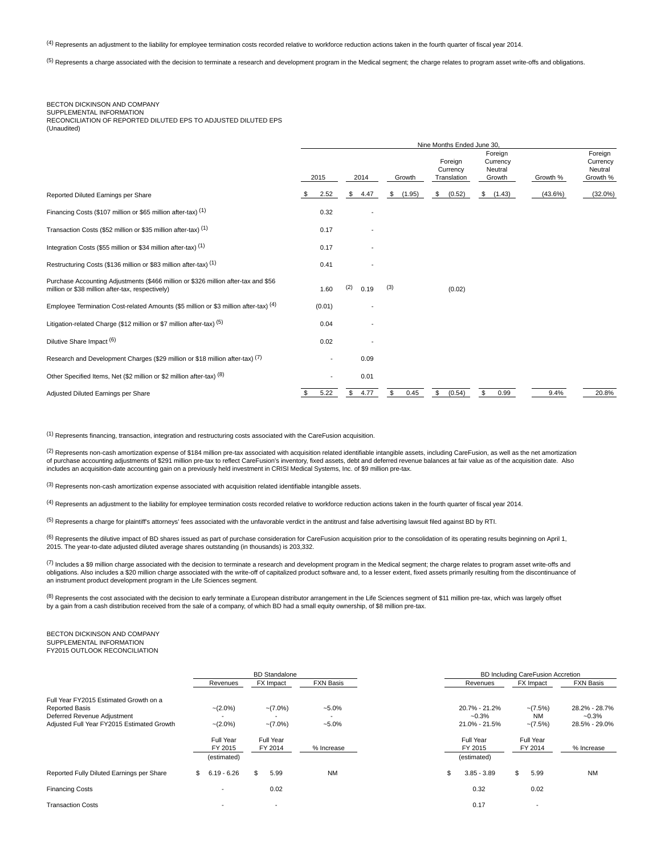<sup>(4)</sup> Represents an adjustment to the liability for employee termination costs recorded relative to workforce reduction actions taken in the fourth quarter of fiscal year 2014.

<sup>(5)</sup> Represents a charge associated with the decision to terminate a research and development program in the Medical segment; the charge relates to program asset write-offs and obligations.

### BECTON DICKINSON AND COMPANY SUPPLEMENTAL INFORMATION

RECONCILIATION OF REPORTED DILUTED EPS TO ADJUSTED DILUTED EPS (Unaudited)

|                                                                                                                                        | Nine Months Ended June 30, |             |              |                                    |                                          |          |                                            |  |  |
|----------------------------------------------------------------------------------------------------------------------------------------|----------------------------|-------------|--------------|------------------------------------|------------------------------------------|----------|--------------------------------------------|--|--|
|                                                                                                                                        | 2015                       | 2014        | Growth       | Foreign<br>Currency<br>Translation | Foreign<br>Currency<br>Neutral<br>Growth | Growth % | Foreign<br>Currency<br>Neutral<br>Growth % |  |  |
| Reported Diluted Earnings per Share                                                                                                    | 2.52                       | \$<br>4.47  | (1.95)<br>\$ | \$<br>(0.52)                       | \$<br>(1.43)                             | (43.6%)  | $(32.0\%)$                                 |  |  |
| Financing Costs (\$107 million or \$65 million after-tax) (1)                                                                          | 0.32                       |             |              |                                    |                                          |          |                                            |  |  |
| Transaction Costs (\$52 million or \$35 million after-tax) (1)                                                                         | 0.17                       |             |              |                                    |                                          |          |                                            |  |  |
| Integration Costs (\$55 million or \$34 million after-tax) (1)                                                                         | 0.17                       |             |              |                                    |                                          |          |                                            |  |  |
| Restructuring Costs (\$136 million or \$83 million after-tax) (1)                                                                      | 0.41                       |             |              |                                    |                                          |          |                                            |  |  |
| Purchase Accounting Adjustments (\$466 million or \$326 million after-tax and \$56<br>million or \$38 million after-tax, respectively) | 1.60                       | (2)<br>0.19 | (3)          | (0.02)                             |                                          |          |                                            |  |  |
| Employee Termination Cost-related Amounts (\$5 million or \$3 million after-tax) (4)                                                   | (0.01)                     |             |              |                                    |                                          |          |                                            |  |  |
| Litigation-related Charge (\$12 million or \$7 million after-tax) (5)                                                                  | 0.04                       |             |              |                                    |                                          |          |                                            |  |  |
| Dilutive Share Impact (6)                                                                                                              | 0.02                       |             |              |                                    |                                          |          |                                            |  |  |
| Research and Development Charges (\$29 million or \$18 million after-tax) (7)                                                          |                            | 0.09        |              |                                    |                                          |          |                                            |  |  |
| Other Specified Items, Net (\$2 million or \$2 million after-tax) (8)                                                                  |                            | 0.01        |              |                                    |                                          |          |                                            |  |  |
| Adjusted Diluted Earnings per Share                                                                                                    | 5.22<br>\$                 | 4.77<br>\$  | \$<br>0.45   | \$<br>(0.54)                       | \$<br>0.99                               | 9.4%     | 20.8%                                      |  |  |

(1) Represents financing, transaction, integration and restructuring costs associated with the CareFusion acquisition.

 $^{(2)}$  Represents non-cash amortization expense of \$184 million pre-tax associated with acquisition related identifiable intangible assets, including CareFusion, as well as the net amortization of purchase accounting adjustments of \$291 million pre-tax to reflect CareFusion's inventory, fixed assets, debt and deferred revenue balances at fair value as of the acquisition date. Also<br>includes an acquisition-date acc

 $(3)$  Represents non-cash amortization expense associated with acquisition related identifiable intangible assets.

<sup>(4)</sup> Represents an adjustment to the liability for employee termination costs recorded relative to workforce reduction actions taken in the fourth quarter of fiscal year 2014.

<sup>(5)</sup> Represents a charge for plaintiff's attorneys' fees associated with the unfavorable verdict in the antitrust and false advertising lawsuit filed against BD by RTI.

 $^{(6)}$  Represents the dilutive impact of BD shares issued as part of purchase consideration for CareFusion acquisition prior to the consolidation of its operating results beginning on April 1, 2015. The year-to-date adjusted diluted average shares outstanding (in thousands) is 203,332.

 $^{(7)}$  Includes a \$9 million charge associated with the decision to terminate a research and development program in the Medical segment; the charge relates to program asset write-offs and obligations. Also includes a \$20 million charge associated with the write-off of capitalized product software and, to a lesser extent, fixed assets primarily resulting from the discontinuance of an instrument product development program in the Life Sciences segment.

(8) Represents the cost associated with the decision to early terminate a European distributor arrangement in the Life Sciences segment of \$11 million pre-tax, which was largely offset by a gain from a cash distribution received from the sale of a company, of which BD had a small equity ownership, of \$8 million pre-tax.

BECTON DICKINSON AND COMPANY SUPPLEMENTAL INFORMATION FY2015 OUTLOOK RECONCILIATION

|                                                      |                                     | <b>BD</b> Standalone     |                  |                                     | BD Including CareFusion Accretion |                          |
|------------------------------------------------------|-------------------------------------|--------------------------|------------------|-------------------------------------|-----------------------------------|--------------------------|
|                                                      | Revenues                            | FX Impact                | <b>FXN Basis</b> | Revenues                            | FX Impact                         | <b>FXN Basis</b>         |
| Full Year FY2015 Estimated Growth on a               |                                     |                          |                  |                                     |                                   |                          |
| <b>Reported Basis</b><br>Deferred Revenue Adjustment | $-(2.0\%)$                          | $-(7.0\%)$               | $-5.0\%$         | 20.7% - 21.2%<br>$-0.3%$            | $-(7.5%)$<br><b>NM</b>            | 28.2% - 28.7%<br>$-0.3%$ |
| Adjusted Full Year FY2015 Estimated Growth           | $-(2.0\%)$                          | $-(7.0\%)$               | $-5.0\%$         | 21.0% - 21.5%                       | $-(7.5%)$                         | 28.5% - 29.0%            |
|                                                      | Full Year<br>FY 2015<br>(estimated) | Full Year<br>FY 2014     | % Increase       | Full Year<br>FY 2015<br>(estimated) | Full Year<br>FY 2014              | % Increase               |
| Reported Fully Diluted Earnings per Share            | $6.19 - 6.26$<br>\$.                | \$<br>5.99               | <b>NM</b>        | \$<br>$3.85 - 3.89$                 | \$<br>5.99                        | <b>NM</b>                |
| <b>Financing Costs</b>                               | ٠                                   | 0.02                     |                  | 0.32                                | 0.02                              |                          |
| <b>Transaction Costs</b>                             | ٠                                   | $\overline{\phantom{a}}$ |                  | 0.17                                |                                   |                          |